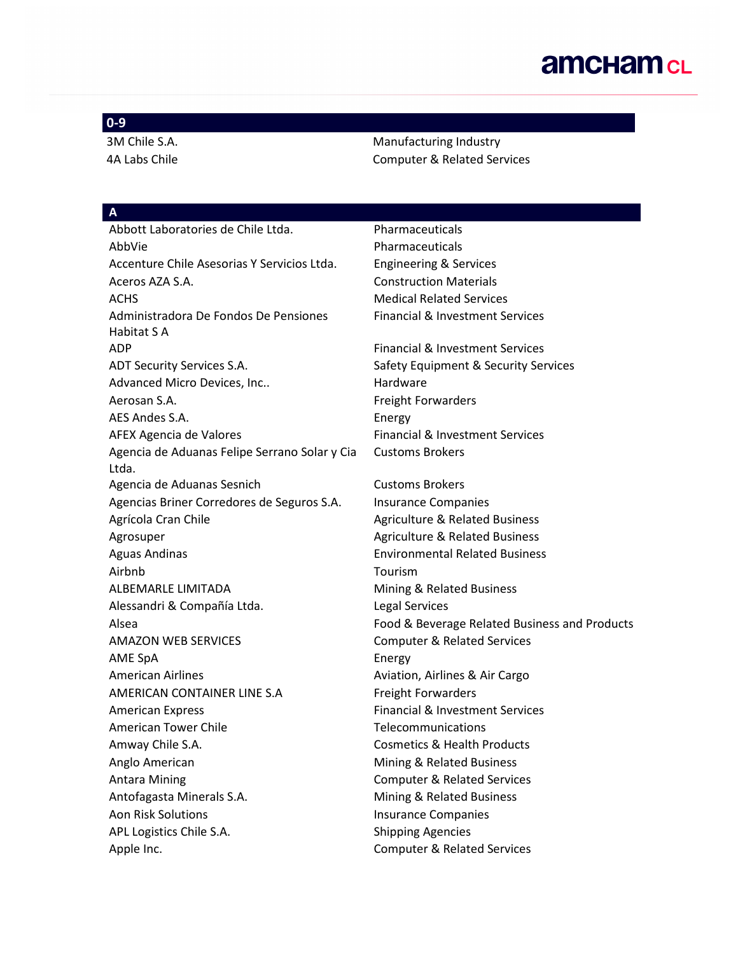#### **0-9**

3M Chile S.A. **Manufacturing Industry** Manufacturing Industry 4A Labs Chile Computer & Related Services

## **A**

Abbott Laboratories de Chile Ltda. Pharmaceuticals AbbVie **Pharmaceuticals** Accenture Chile Asesorias Y Servicios Ltda. Engineering & Services Aceros AZA S.A. Construction Materials ACHS Medical Related Services Administradora De Fondos De Pensiones Habitat S A ADP Financial & Investment Services ADT Security Services S.A. Safety Equipment & Security Services Advanced Micro Devices, Inc.. https://www.mardware.com Aerosan S.A. **Freight Forwarders** AES Andes S.A. Energy AFEX Agencia de Valores **Financial & Investment Services** Agencia de Aduanas Felipe Serrano Solar y Cia Ltda. Agencia de Aduanas Sesnich Customs Brokers Agencias Briner Corredores de Seguros S.A. Insurance Companies Agrícola Cran Chile **Agriculture & Related Business** Agriculture & Related Business Agrosuper **Agrosuper** Agriculture & Related Business Aguas Andinas Environmental Related Business Airbnb Tourism ALBEMARLE LIMITADA Mining & Related Business Alessandri & Compañía Ltda. Legal Services AMAZON WEB SERVICES Computer & Related Services AME SpA Energy American Airlines **Australia Aviation**, Airlines & Air Cargo AMERICAN CONTAINER LINE S.A Freight Forwarders American Express Financial & Investment Services American Tower Chile Telecommunications Amway Chile S.A. Cosmetics & Health Products Anglo American **Mining & Related Business** Antara Mining Computer & Related Services Antofagasta Minerals S.A. Mining & Related Business Aon Risk Solutions **Insurance Companies** APL Logistics Chile S.A. Shipping Agencies Apple Inc. **Apple Inc.** Computer & Related Services

Financial & Investment Services Customs Brokers

Alsea Food & Beverage Related Business and Products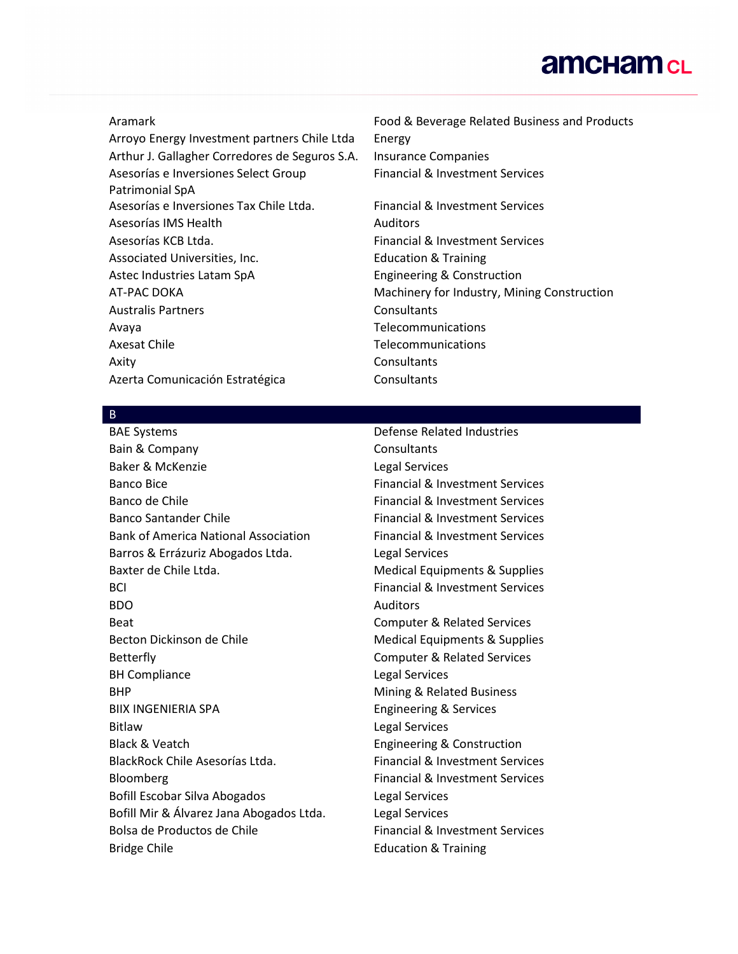Arroyo Energy Investment partners Chile Ltda Energy Arthur J. Gallagher Corredores de Seguros S.A. Insurance Companies Asesorías e Inversiones Select Group Patrimonial SpA Asesorías e Inversiones Tax Chile Ltda. Financial & Investment Services Asesorías IMS Health **Auditors** Auditors Asesorías KCB Ltda. Financial & Investment Services Associated Universities, Inc. The Matteo Beducation & Training Astec Industries Latam SpA Engineering & Construction AT-PAC DOKA Machinery for Industry, Mining Construction Australis Partners Consultants Avaya Telecommunications Axesat Chile Telecommunications Axity Consultants Azerta Comunicación Estratégica Consultants

Aramark Food & Beverage Related Business and Products Financial & Investment Services

B

Bain & Company Consultants Baker & McKenzie Legal Services Banco Bice **Financial & Investment Services** Banco de Chile Financial & Investment Services Banco Santander Chile Financial & Investment Services Bank of America National Association Financial & Investment Services Barros & Errázuriz Abogados Ltda. 
Legal Services Baxter de Chile Ltda. The Medical Equipments & Supplies **BCI EXECUTE: EXECUTE: Financial & Investment Services** BDO Auditors Beat Computer & Related Services Becton Dickinson de Chile Medical Equipments & Supplies Betterfly Computer & Related Services BH Compliance Legal Services BHP **BHP** Mining & Related Business BIIX INGENIERIA SPA Engineering & Services Bitlaw Legal Services Black & Veatch **Engineering & Construction** BlackRock Chile Asesorías Ltda. Financial & Investment Services Bloomberg Financial & Investment Services Bofill Escobar Silva Abogados Legal Services Bofill Mir & Álvarez Jana Abogados Ltda. Legal Services Bolsa de Productos de Chile **Financial & Investment Services** Bridge Chile **Education & Training** 

BAE Systems **Defense Related Industries**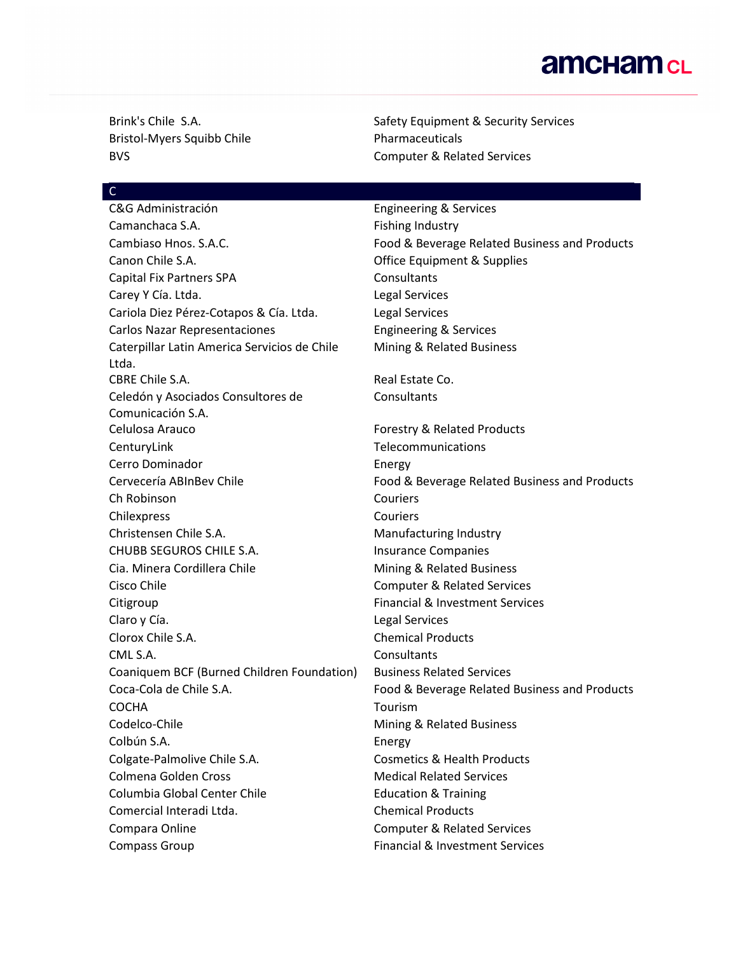Bristol-Myers Squibb Chile **Pharmaceuticals** 

Brink's Chile S.A. Safety Equipment & Security Services BVS Computer & Related Services

#### C

C&G Administración **Engineering & Services** Camanchaca S.A. **Fishing Industry** Canon Chile S.A. Office Equipment & Supplies Capital Fix Partners SPA Consultants Carey Y Cía. Ltda. **Legal Services** Cariola Diez Pérez-Cotapos & Cía. Ltda. Legal Services Carlos Nazar Representaciones Engineering & Services Caterpillar Latin America Servicios de Chile Ltda. CBRE Chile S.A. **Real Estate Co.** Real Estate Co. Celedón y Asociados Consultores de Comunicación S.A. Celulosa Arauco **Forestry & Related Products** CenturyLink Telecommunications Cerro Dominador **Energy** Ch Robinson Couriers Chilexpress Couriers Christensen Chile S.A. Manufacturing Industry CHUBB SEGUROS CHILE S.A. Insurance Companies Cia. Minera Cordillera Chile Mining & Related Business Cisco Chile Computer & Related Services Citigroup **Financial & Investment Services** Claro y Cía. Legal Services Clorox Chile S.A. Chemical Products CML S.A. Consultants Coaniquem BCF (Burned Children Foundation) Business Related Services COCHA Tourism Codelco-Chile **Mining & Related Business** Colbún S.A. Energy Colgate-Palmolive Chile S.A. Cosmetics & Health Products Colmena Golden Cross **Medical Related Services** Medical Related Services Columbia Global Center Chile **Education & Training** Comercial Interadi Ltda. Chemical Products Compara Online Computer & Related Services Compass Group **Financial & Investment Services** 

Cambiaso Hnos. S.A.C. **Food & Beverage Related Business and Products** Mining & Related Business **Consultants** Cervecería ABInBev Chile Food & Beverage Related Business and Products Coca-Cola de Chile S.A. Food & Beverage Related Business and Products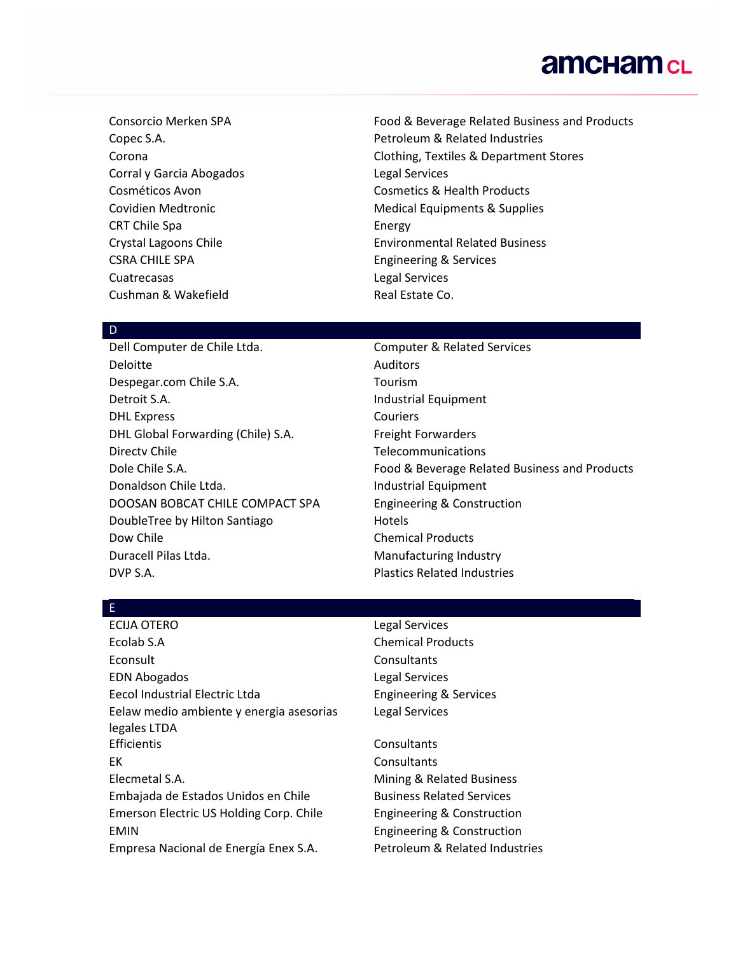Corral y Garcia Abogados Legal Services CRT Chile Spa **Energy** CSRA CHILE SPA Engineering & Services Cuatrecasas Legal Services Cushman & Wakefield **Real Estate Co. Real Estate Co.** 

Consorcio Merken SPA Food & Beverage Related Business and Products Copec S.A. Copec S.A. Corona Clothing, Textiles & Department Stores Cosméticos Avon Cosmetics & Health Products Covidien Medtronic **Medical Equipments & Supplies** Crystal Lagoons Chile **Environmental Related Business** 

#### D

Deloitte Auditors Despegar.com Chile S.A. Tourism Detroit S.A. **Industrial Equipment** DHL Express Couriers DHL Global Forwarding (Chile) S.A. Freight Forwarders Directv Chile **Telecommunications** Donaldson Chile Ltda. Industrial Equipment DOOSAN BOBCAT CHILE COMPACT SPA Engineering & Construction DoubleTree by Hilton Santiago Hotels Dow Chile Chemical Products Duracell Pilas Ltda. Manufacturing Industry DVP S.A. Plastics Related Industries

Dell Computer de Chile Ltda. Computer & Related Services Dole Chile S.A. Food & Beverage Related Business and Products

#### E

ECIJA OTERO Legal Services Ecolab S.A Chemical Products Econsult **Consultants** EDN Abogados Legal Services Eecol Industrial Electric Ltda **Engineering & Services** Eelaw medio ambiente y energia asesorias legales LTDA Efficientis Consultants EK Consultants Elecmetal S.A. Mining & Related Business Embajada de Estados Unidos en Chile Business Related Services Emerson Electric US Holding Corp. Chile Engineering & Construction EMIN EMIN Engineering & Construction Empresa Nacional de Energía Enex S.A. Petroleum & Related Industries

Legal Services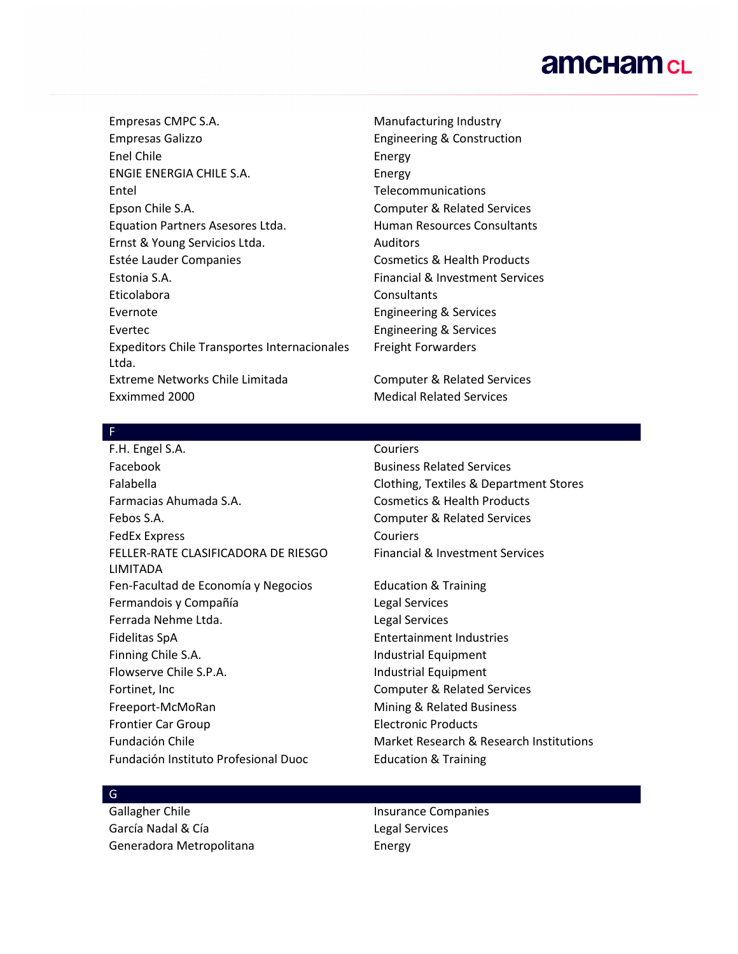Empresas CMPC S.A. Manufacturing Industry Empresas Galizzo Engineering & Construction Enel Chile **Energy** ENGIE ENERGIA CHILE S.A. Energy Entel Telecommunications Epson Chile S.A. Computer & Related Services Equation Partners Asesores Ltda. Human Resources Consultants Ernst & Young Servicios Ltda. Auditors Estée Lauder Companies **Cosmetics & Health Products** Estonia S.A. Financial & Investment Services Eticolabora Consultants Evernote Engineering & Services Evertec **Exercise Engineering & Services** Expeditors Chile Transportes Internacionales Ltda. Extreme Networks Chile Limitada Computer & Related Services Exximmed 2000 Medical Related Services

Freight Forwarders

#### F

F.H. Engel S.A. Couriers Facebook Business Related Services Falabella Clothing, Textiles & Department Stores Farmacias Ahumada S.A. Cosmetics & Health Products Febos S.A. Computer & Related Services FedEx Express Couriers FELLER-RATE CLASIFICADORA DE RIESGO LIMITADA Fen-Facultad de Economía y Negocios Education & Training Fermandois y Compañía **Legal Services** Ferrada Nehme Ltda. Legal Services Fidelitas SpA Entertainment Industries Finning Chile S.A. **Industrial Equipment** Flowserve Chile S.P.A. Industrial Equipment Fortinet, Inc **Computer & Related Services** Freeport-McMoRan Mining & Related Business Frontier Car Group **Electronic Products** Fundación Instituto Profesional Duoc<br>
Education & Training

Financial & Investment Services

Fundación Chile **Market Research & Research Institutions** 

## G

García Nadal & Cía **Legal Services** Generadora Metropolitana **Energy** 

Gallagher Chile **Insurance Companies**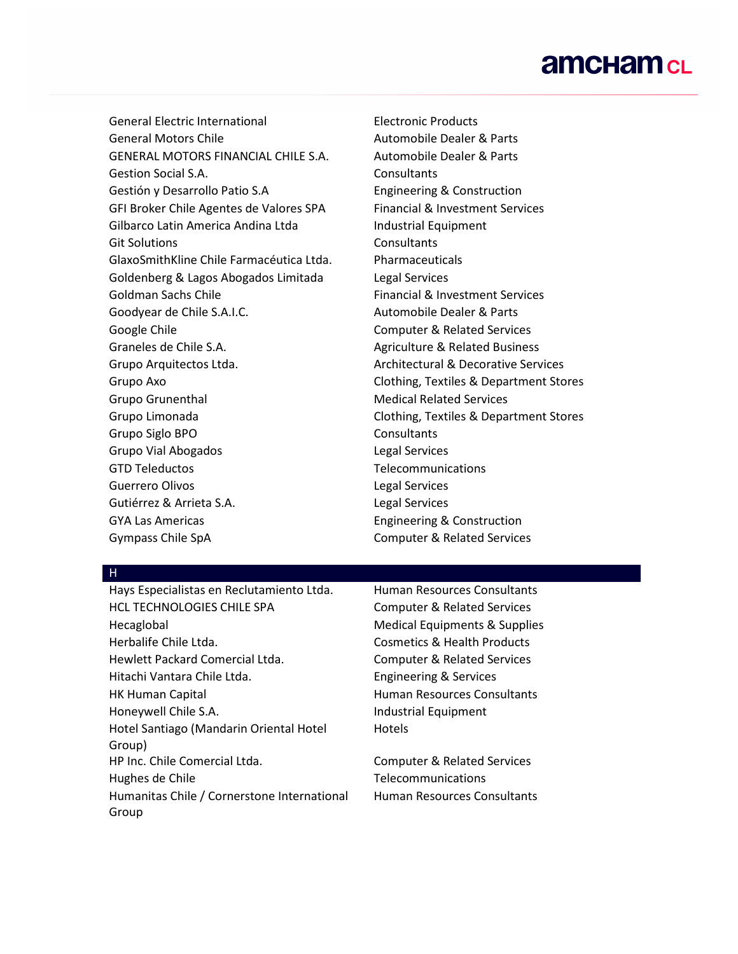General Electric International Electronic Products General Motors Chile **Automobile Dealer & Parts** GENERAL MOTORS FINANCIAL CHILE S.A. Automobile Dealer & Parts Gestion Social S.A. Consultants Gestión y Desarrollo Patio S.A Engineering & Construction GFI Broker Chile Agentes de Valores SPA Financial & Investment Services Gilbarco Latin America Andina Ltda Industrial Equipment Git Solutions **Consultants** GlaxoSmithKline Chile Farmacéutica Ltda. Pharmaceuticals Goldenberg & Lagos Abogados Limitada Legal Services Goldman Sachs Chile Financial & Investment Services Goodyear de Chile S.A.I.C. **Automobile Dealer & Parts** Google Chile Computer & Related Services Graneles de Chile S.A. Agriculture & Related Business Grupo Arquitectos Ltda. Architectural & Decorative Services Grupo Axo Clothing, Textiles & Department Stores Grupo Grunenthal **Medical Related Services** Grupo Limonada Clothing, Textiles & Department Stores Grupo Siglo BPO Consultants Grupo Vial Abogados **Legal Services** GTD Teleductos Telecommunications Guerrero Olivos Legal Services Gutiérrez & Arrieta S.A. Charles Contract de Legal Services GYA Las Americas **Engineering & Construction** 

Gympass Chile SpA Computer & Related Services

#### H

Hays Especialistas en Reclutamiento Ltda. Human Resources Consultants HCL TECHNOLOGIES CHILE SPA Computer & Related Services Hecaglobal Medical Equipments & Supplies Herbalife Chile Ltda. Cosmetics & Health Products Hewlett Packard Comercial Ltda. Computer & Related Services Hitachi Vantara Chile Ltda. Engineering & Services HK Human Capital **Human Resources Consultants** Honeywell Chile S.A. **Industrial Equipment** Hotel Santiago (Mandarin Oriental Hotel Group) HP Inc. Chile Comercial Ltda. Computer & Related Services Hughes de Chile Telecommunications Humanitas Chile / Cornerstone International Group

Hotels

Human Resources Consultants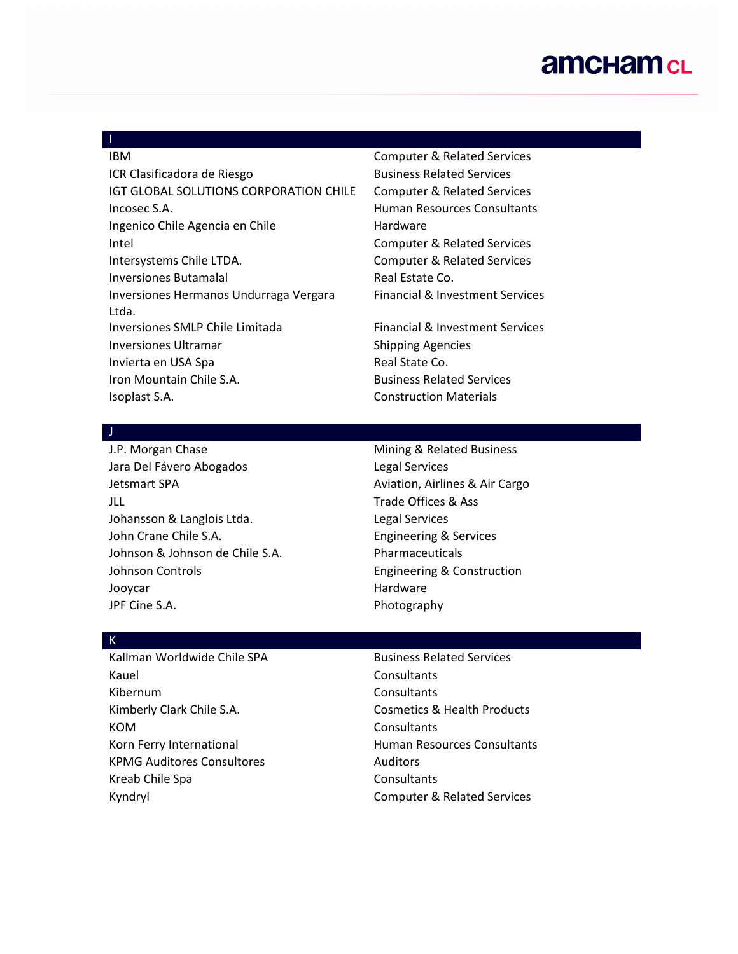## I

ICR Clasificadora de Riesgo Business Related Services IGT GLOBAL SOLUTIONS CORPORATION CHILE Computer & Related Services Incosec S.A. Human Resources Consultants Ingenico Chile Agencia en Chile **Hardware** Intel Computer & Related Services Intersystems Chile LTDA. Computer & Related Services Inversiones Butamalal **Real Estate Co. Real Estate Co.** Inversiones Hermanos Undurraga Vergara Ltda. Inversiones SMLP Chile Limitada Financial & Investment Services Inversiones Ultramar Shipping Agencies Invierta en USA Spa **Real State Co. Real State Co.** Iron Mountain Chile S.A. **Business Related Services** Isoplast S.A. Construction Materials

IBM Computer & Related Services Financial & Investment Services

#### J

J.P. Morgan Chase Mining & Related Business Jara Del Fávero Abogados Legal Services Jetsmart SPA **Aviation**, Airlines & Air Cargo JLL Trade Offices & Ass Johansson & Langlois Ltda. The Changlois Ltda. John Crane Chile S.A. **Engineering & Services** Johnson & Johnson de Chile S.A. Pharmaceuticals Johnson Controls **Engineering & Construction** Jooycar **Hardware** Hardware JPF Cine S.A. Photography

#### K

Kauel **Consultants** Kibernum Consultants Kimberly Clark Chile S.A. Cosmetics & Health Products KOM Consultants Korn Ferry International **Human Resources Consultants** KPMG Auditores Consultores **Auditors** Auditors Kreab Chile Spa Consultants Kyndryl Computer & Related Services

## Kallman Worldwide Chile SPA Business Related Services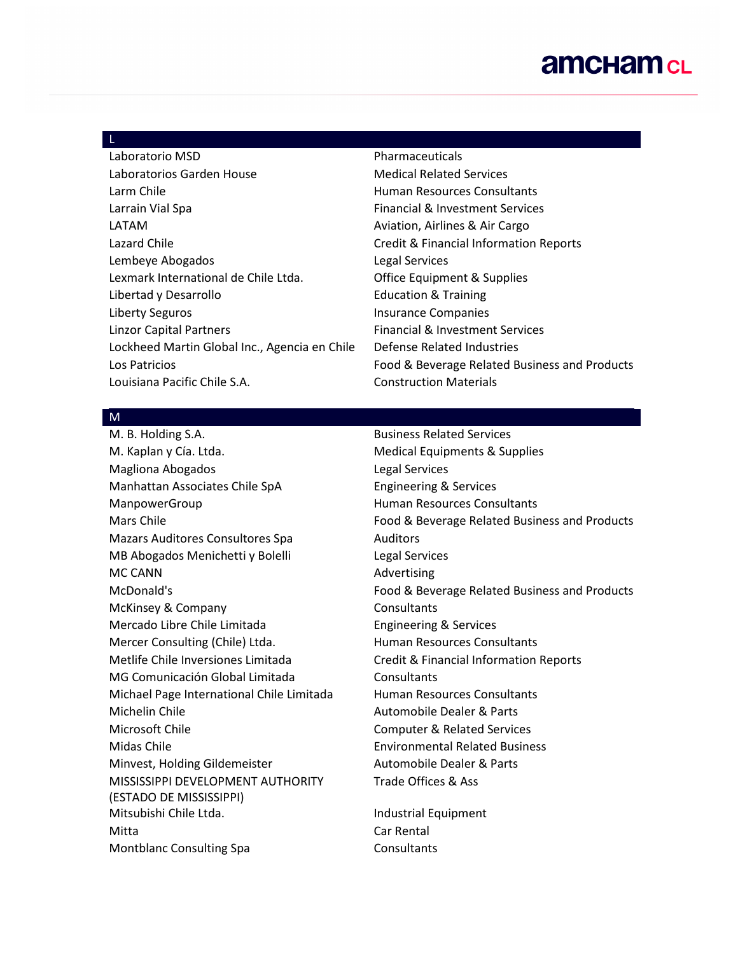#### L

| Laboratorio MSD                               | Pharmaceuticals                        |
|-----------------------------------------------|----------------------------------------|
| Laboratorios Garden House                     | <b>Medical Related Services</b>        |
| Larm Chile                                    | Human Resources Consultants            |
| Larrain Vial Spa                              | Financial & Investment Services        |
| LATAM                                         | Aviation, Airlines & Air Cargo         |
| Lazard Chile                                  | Credit & Financial Information F       |
| Lembeye Abogados                              | <b>Legal Services</b>                  |
| Lexmark International de Chile Ltda.          | <b>Office Equipment &amp; Supplies</b> |
| Libertad y Desarrollo                         | <b>Education &amp; Training</b>        |
| Liberty Seguros                               | <b>Insurance Companies</b>             |
| <b>Linzor Capital Partners</b>                | Financial & Investment Services        |
| Lockheed Martin Global Inc., Agencia en Chile | Defense Related Industries             |
| Los Patricios                                 | Food & Beverage Related Busine         |
| Louisiana Pacific Chile S.A.                  | <b>Construction Materials</b>          |
|                                               |                                        |

tion Reports Business and Products

#### M

M. Kaplan y Cía. Ltda. Musical Equipments & Supplies Magliona Abogados Legal Services Manhattan Associates Chile SpA Engineering & Services ManpowerGroup **ManpowerGroup Human Resources Consultants** Mazars Auditores Consultores Spa **Auditors** MB Abogados Menichetti y Bolelli Legal Services MC CANN **Advertising** McKinsey & Company Consultants Mercado Libre Chile Limitada Engineering & Services Mercer Consulting (Chile) Ltda. Human Resources Consultants Metlife Chile Inversiones Limitada Credit & Financial Information Reports MG Comunicación Global Limitada Consultants Michael Page International Chile Limitada Human Resources Consultants Michelin Chile **Automobile Dealer & Parts** Microsoft Chile Computer & Related Services Midas Chile Environmental Related Business Minvest, Holding Gildemeister Automobile Dealer & Parts MISSISSIPPI DEVELOPMENT AUTHORITY (ESTADO DE MISSISSIPPI) Mitsubishi Chile Ltda. Industrial Equipment Mitta Car Rental Montblanc Consulting Spa Consultants

#### M. B. Holding S.A. Business Related Services

Mars Chile Food & Beverage Related Business and Products McDonald's Food & Beverage Related Business and Products Trade Offices & Ass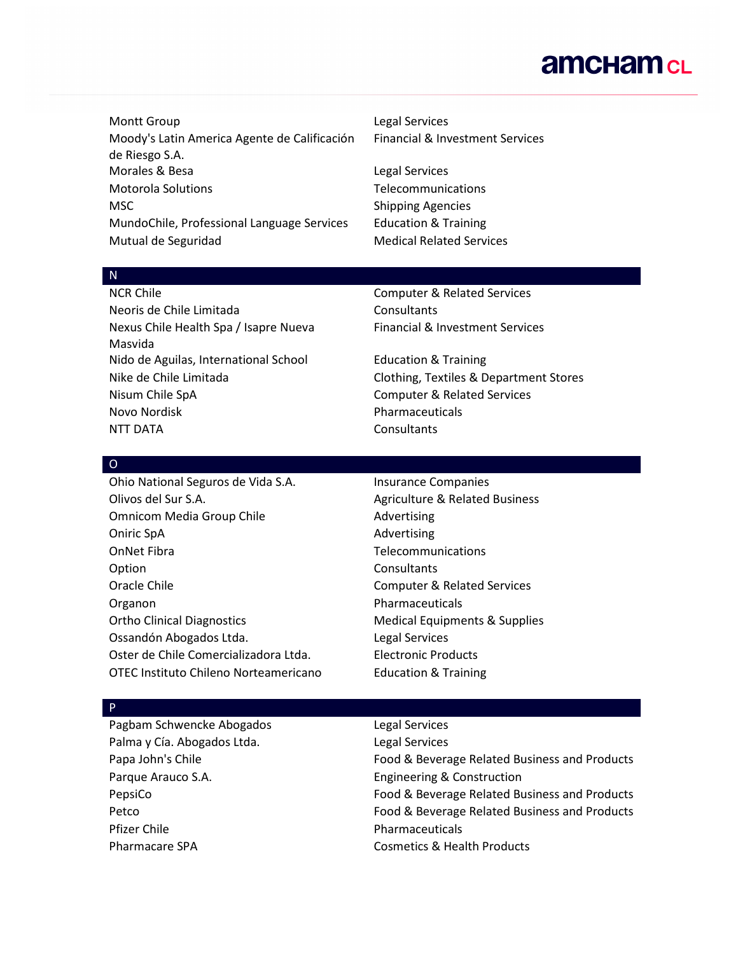Montt Group **Legal Services** Moody's Latin America Agente de Calificación de Riesgo S.A. Morales & Besa **Legal Services** Motorola Solutions Telecommunications MSC Shipping Agencies MundoChile, Professional Language Services Education & Training Mutual de Seguridad Medical Related Services

# Financial & Investment Services

#### N

Neoris de Chile Limitada **Consultants** Nexus Chile Health Spa / Isapre Nueva Masvida Nido de Aguilas, International School Education & Training Nisum Chile SpA Computer & Related Services Novo Nordisk **Pharmaceuticals** NTT DATA **Consultants** 

NCR Chile Computer & Related Services Financial & Investment Services

Nike de Chile Limitada Clothing, Textiles & Department Stores

#### O

Ohio National Seguros de Vida S.A. Insurance Companies Olivos del Sur S.A. Agriculture & Related Business Omnicom Media Group Chile **Advertising** Oniric SpA **Advertising** OnNet Fibra **Telecommunications** Option Consultants Oracle Chile Chile Computer & Related Services Organon **Pharmaceuticals** Ortho Clinical Diagnostics **Medical Equipments & Supplies** Medical Equipments & Supplies Ossandón Abogados Ltda. Legal Services Oster de Chile Comercializadora Ltda. Electronic Products OTEC Instituto Chileno Norteamericano Education & Training

#### P

Pagbam Schwencke Abogados Legal Services Palma y Cía. Abogados Ltda. Legal Services Parque Arauco S.A. **Engineering & Construction** Pfizer Chile **Pharmaceuticals** Pharmacare SPA Cosmetics & Health Products

Papa John's Chile Food & Beverage Related Business and Products PepsiCo Food & Beverage Related Business and Products Petco Food & Beverage Related Business and Products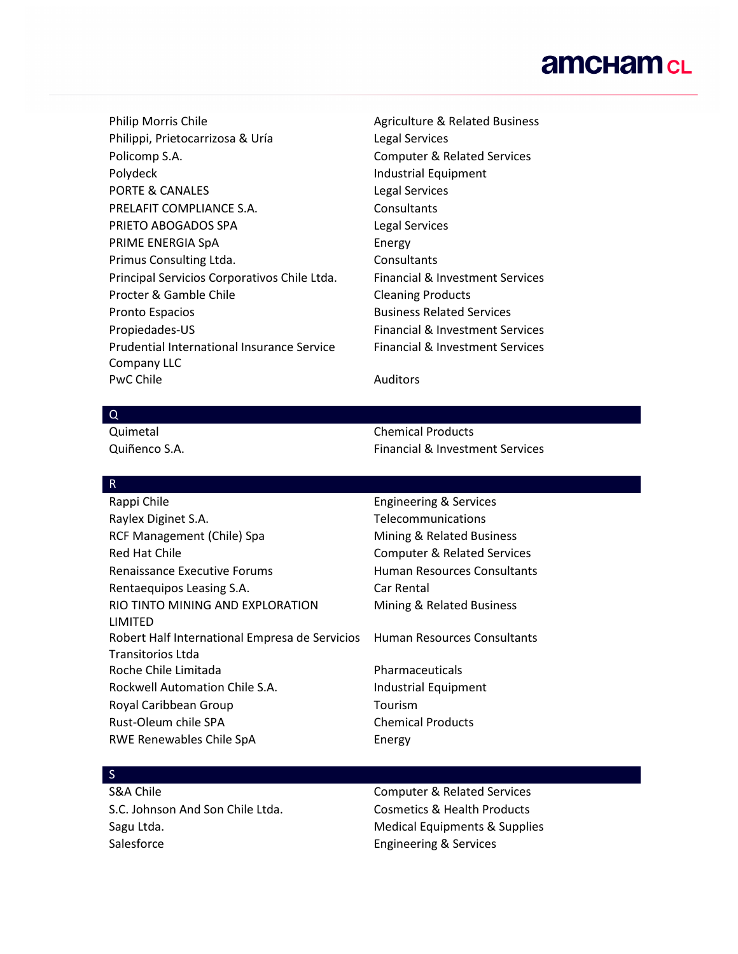Philip Morris Chile **Agriculture & Related Business** Agriculture & Related Business Philippi, Prietocarrizosa & Uría Legal Services Policomp S.A. **Computer & Related Services** Polydeck **Industrial Equipment** PORTE & CANALES Legal Services PRELAFIT COMPLIANCE S.A. Consultants PRIETO ABOGADOS SPA Legal Services PRIME ENERGIA SpA Energy Primus Consulting Ltda. Consultants Principal Servicios Corporativos Chile Ltda. Financial & Investment Services Procter & Gamble Chile Chile Cleaning Products Pronto Espacios **Business Related Services** Propiedades-US Financial & Investment Services Prudential International Insurance Service Company LLC PwC Chile **Auditors Auditors** 

Financial & Investment Services

#### Q

Quimetal Chemical Products Quiñenco S.A. Financial & Investment Services

#### R

Rappi Chile **Engineering & Services** Raylex Diginet S.A. The Communications of the Communications RCF Management (Chile) Spa Mining & Related Business Red Hat Chile Computer & Related Services Renaissance Executive Forums The Muman Resources Consultants Rentaequipos Leasing S.A. Car Rental RIO TINTO MINING AND EXPLORATION LIMITED Robert Half International Empresa de Servicios Transitorios Ltda Roche Chile Limitada **Pharmaceuticals** Rockwell Automation Chile S.A. Industrial Equipment Royal Caribbean Group Tourism Rust-Oleum chile SPA Chemical Products RWE Renewables Chile SpA Energy

# Mining & Related Business

Human Resources Consultants

#### S

S.C. Johnson And Son Chile Ltda. Cosmetics & Health Products Sagu Ltda. The same of the Medical Equipments & Supplies Salesforce Engineering & Services

S&A Chile Computer & Related Services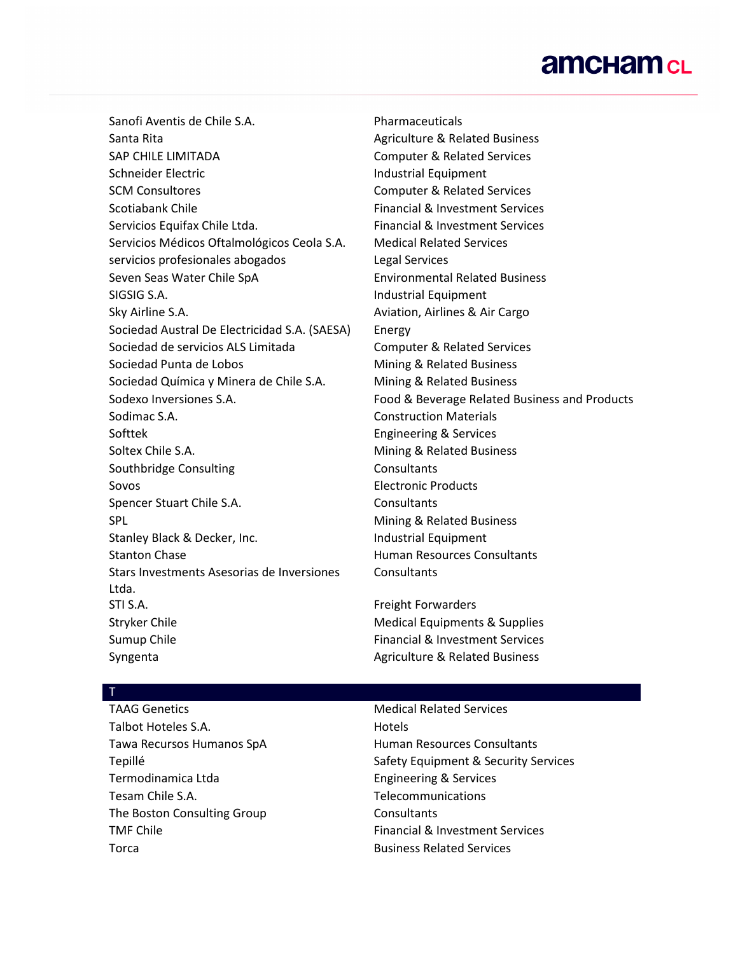Sanofi Aventis de Chile S.A. Pharmaceuticals Santa Rita **Agriculture & Related Business** Agriculture & Related Business SAP CHILE LIMITADA Computer & Related Services Schneider Electric **Industrial Equipment** SCM Consultores Computer & Related Services Scotiabank Chile Financial & Investment Services Servicios Equifax Chile Ltda. Financial & Investment Services Servicios Médicos Oftalmológicos Ceola S.A. Medical Related Services servicios profesionales abogados Legal Services Seven Seas Water Chile SpA Environmental Related Business SIGSIG S.A. **Industrial Equipment** Sky Airline S.A. **Aviation**, Airlines & Air Cargo Sociedad Austral De Electricidad S.A. (SAESA) Energy Sociedad de servicios ALS Limitada Computer & Related Services Sociedad Punta de Lobos Mining & Related Business Sociedad Química y Minera de Chile S.A. Mining & Related Business Sodimac S.A. Construction Materials Softtek **Engineering & Services** Soltex Chile S.A. **Mining & Related Business** Southbridge Consulting The Consultants Sovos Electronic Products Spencer Stuart Chile S.A. Consultants SPL SPL **Mining & Related Business** Stanley Black & Decker, Inc. The Stanley Black & Decker, Inc. Stanton Chase **Human Resources Consultants** Stars Investments Asesorias de Inversiones Ltda. STI S.A. **Freight Forwarders** Stryker Chile **Medical Equipments & Supplies** Medical Equipments & Supplies Sumup Chile Financial & Investment Services

Sodexo Inversiones S.A. Food & Beverage Related Business and Products **Consultants** 

Syngenta **Agriculture & Related Business** Agriculture & Related Business

#### T

TAAG Genetics Medical Related Services Talbot Hoteles S.A. Hotels Tawa Recursos Humanos SpA Human Resources Consultants Termodinamica Ltda Engineering & Services Tesam Chile S.A. Telecommunications The Boston Consulting Group Consultants Torca Business Related Services

Tepillé Safety Equipment & Security Services TMF Chile Financial & Investment Services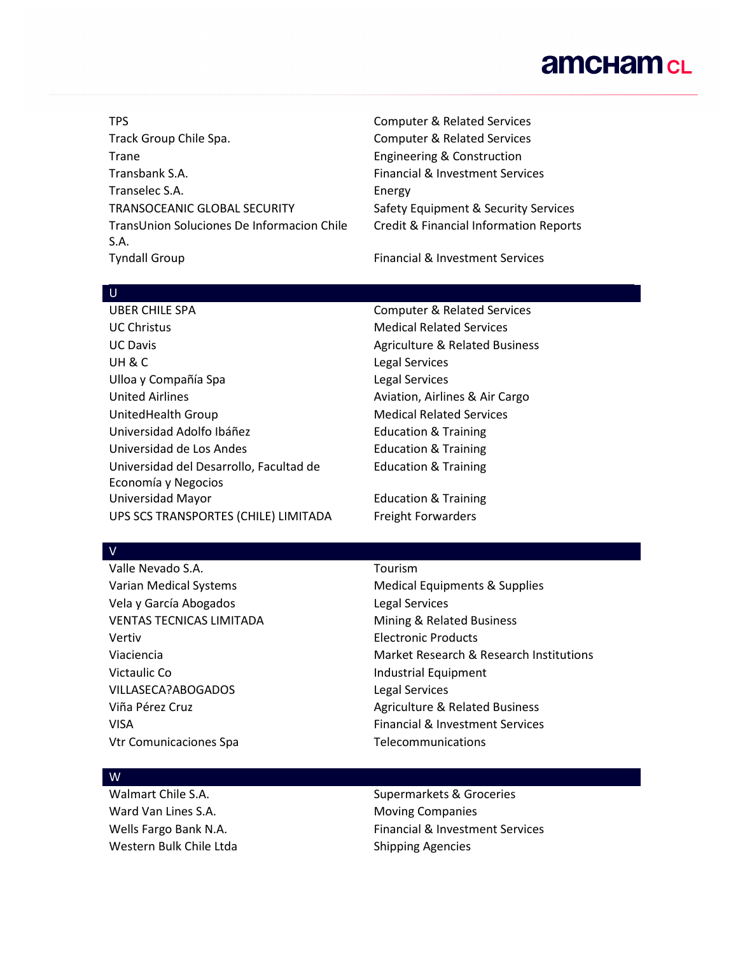TPS Computer & Related Services Track Group Chile Spa. Track Group Computer & Related Services Trane **Engineering & Construction** Transbank S.A. Financial & Investment Services Transelec S.A. Energy TRANSOCEANIC GLOBAL SECURITY Safety Equipment & Security Services TransUnion Soluciones De Informacion Chile S.A. Tyndall Group **Financial & Investment Services** 

Credit & Financial Information Reports

#### $\cup$

UBER CHILE SPA COMPUTER & Related Services UC Christus Medical Related Services UC Davis **Agriculture & Related Business** Agriculture & Related Business UH & C COMPUTER CONTROL CONTROL CONTROL CONTROL CONTROL CONTROL CONTROL CONTROL CONTROL CONTROL CONTROL CONTROL CONTROL CONTROL CONTROL CONTROL CONTROL CONTROL CONTROL CONTROL CONTROL CONTROL CONTROL CONTROL CONTROL CONTRO Ulloa y Compañía Spa **Legal Services** United Airlines **Australia Aviation**, Airlines & Air Cargo UnitedHealth Group Medical Related Services Universidad Adolfo Ibáñez **Education & Training** Universidad de Los Andes **Education & Training** Universidad del Desarrollo, Facultad de Economía y Negocios Universidad Mayor Education & Training UPS SCS TRANSPORTES (CHILE) LIMITADA Freight Forwarders

Education & Training

V

Valle Nevado S.A. Tourism Vela y García Abogados **Legal Services** VENTAS TECNICAS LIMITADA Mining & Related Business Vertiv Electronic Products Victaulic Co **Industrial Equipment** VILLASECA?ABOGADOS Legal Services Vtr Comunicaciones Spa<br>
Telecommunications

Varian Medical Systems Medical Equipments & Supplies Viaciencia Market Research & Research Institutions Viña Pérez Cruz **Agriculture & Related Business** Agriculture & Related Business VISA Financial & Investment Services

#### W

Ward Van Lines S.A. Moving Companies Western Bulk Chile Ltda Shipping Agencies

Walmart Chile S.A. Supermarkets & Groceries Wells Fargo Bank N.A. The Services of Financial & Investment Services